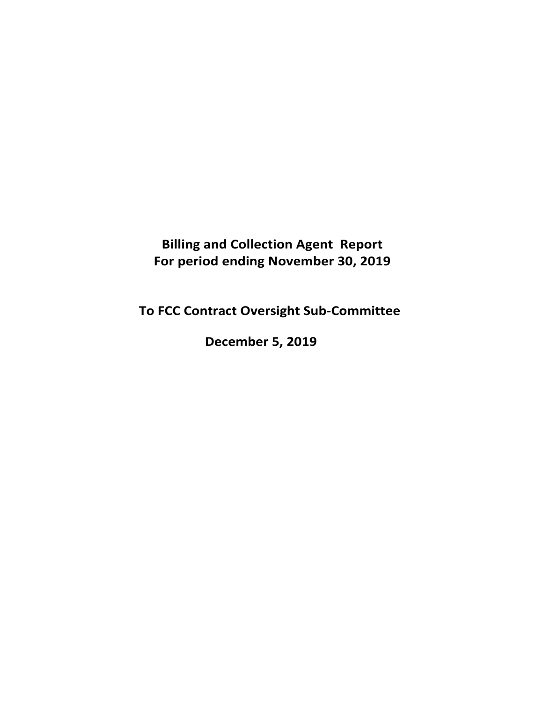**Billing and Collection Agent Report For period ending November 30, 2019** 

**To FCC Contract Oversight Sub‐Committee** 

**December 5, 2019**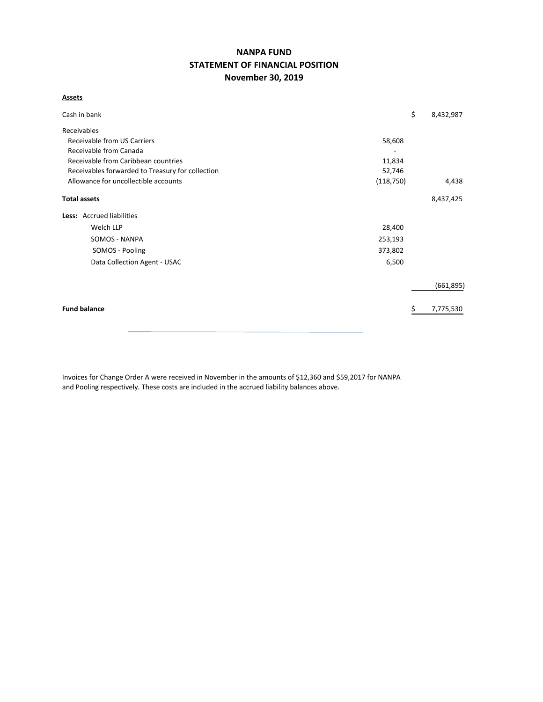# **NANPA FUND STATEMENT OF FINANCIAL POSITION November 30, 2019**

**Assets**

|                                                            | \$ | 8,432,987  |  |  |  |  |  |  |
|------------------------------------------------------------|----|------------|--|--|--|--|--|--|
|                                                            |    |            |  |  |  |  |  |  |
| 58,608                                                     |    |            |  |  |  |  |  |  |
|                                                            |    |            |  |  |  |  |  |  |
| Receivable from Caribbean countries<br>11,834              |    |            |  |  |  |  |  |  |
| Receivables forwarded to Treasury for collection<br>52,746 |    |            |  |  |  |  |  |  |
| (118, 750)                                                 |    | 4,438      |  |  |  |  |  |  |
|                                                            |    | 8,437,425  |  |  |  |  |  |  |
|                                                            |    |            |  |  |  |  |  |  |
| 28,400                                                     |    |            |  |  |  |  |  |  |
| 253,193                                                    |    |            |  |  |  |  |  |  |
| 373,802                                                    |    |            |  |  |  |  |  |  |
| 6,500                                                      |    |            |  |  |  |  |  |  |
|                                                            |    | (661, 895) |  |  |  |  |  |  |
|                                                            |    | 7,775,530  |  |  |  |  |  |  |
|                                                            |    |            |  |  |  |  |  |  |

Invoices for Change Order A were received in November in the amounts of \$12,360 and \$59,2017 for NANPA and Pooling respectively. These costs are included in the accrued liability balances above.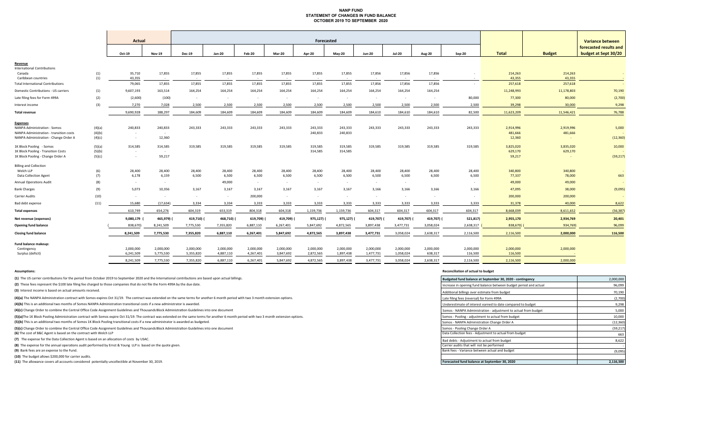#### **NANP FUND STATEMENT OF CHANGES IN FUND BALANCE OCTOBER 2019 TO SEPTEMBER 2020**

|                                          |            |                  | Actual<br>Forecasted |                  |                  |               |            |            |                  |                  |               |                  | <b>Variance between</b> |                   |                   |                        |
|------------------------------------------|------------|------------------|----------------------|------------------|------------------|---------------|------------|------------|------------------|------------------|---------------|------------------|-------------------------|-------------------|-------------------|------------------------|
|                                          |            |                  |                      |                  |                  |               |            |            |                  |                  |               |                  |                         |                   |                   | forecasted results and |
|                                          |            | Oct-19           | <b>Nov-19</b>        | <b>Dec-19</b>    | <b>Jan-20</b>    | <b>Feb-20</b> | Mar-20     | Apr-20     | <b>May-20</b>    | <b>Jun-20</b>    | <b>Jul-20</b> | <b>Aug-20</b>    | $Sep-20$                | <b>Total</b>      | <b>Budget</b>     | budget at Sept 30/20   |
| Revenue                                  |            |                  |                      |                  |                  |               |            |            |                  |                  |               |                  |                         |                   |                   |                        |
| <b>International Contributions</b>       |            |                  |                      |                  |                  |               |            |            |                  |                  |               |                  |                         |                   |                   |                        |
| Canada<br>Caribbean countries            | (1)<br>(1) | 35,710<br>43,355 | 17,855<br>$\sim$ $-$ | 17,855<br>$\sim$ | 17,855<br>$\sim$ | 17,855        | 17,855     | 17,855     | 17,855<br>$\sim$ | 17,856<br>$\sim$ | 17,856        | 17,856<br>$\sim$ |                         | 214,263<br>43,355 | 214,263<br>43,355 |                        |
| <b>Total International Contributions</b> |            | 79,065           | 17,855               | 17,855           | 17,855           | 17,855        | 17,855     | 17,855     | 17,855           | 17,856           | 17,856        | 17,856           | $\sim$                  | 257,618           | 257,618           |                        |
| Domestic Contributions - US carriers     | (1)        | 9,607,193        | 163,514              | 164,254          | 164,254          | 164,254       | 164,254    | 164,254    | 164,254          | 164,254          | 164,254       | 164,254          |                         | 11,248,993        | 11,178,803        | 70,190                 |
| Late filing fees for Form 499A           | (2)        | (2,600)          | (100)                | $\sim$ $-$       | $\sim$           | $\sim$ $-$    | $\sim$ $-$ | $\sim$     | $\sim$           | $\sim$ $-$       | $\sim$ $-$    | $\sim$           | 80,000                  | 77,300            | 80,000            | (2,700)                |
| Interest income                          | (3)        | 7,270            | 7,028                | 2,500            | 2,500            | 2,500         | 2,500      | 2,500      | 2,500            | 2,500            | 2,500         | 2,500            | 2,500                   | 39,298            | 30,000            | 9,298                  |
|                                          |            |                  |                      |                  |                  |               |            |            |                  |                  |               |                  |                         |                   |                   |                        |
| <b>Total revenue</b>                     |            | 9,690,928        | 188,297              | 184,609          | 184,609          | 184,609       | 184,609    | 184,609    | 184,609          | 184,610          | 184,610       | 184,610          | 82,500                  | 11,623,209        | 11,546,421        | 76,788                 |
| <b>Expenses</b>                          |            |                  |                      |                  |                  |               |            |            |                  |                  |               |                  |                         |                   |                   |                        |
| <b>NANPA Administration - Somos</b>      | (4)(a)     | 240,833          | 240,833              | 243,333          | 243,333          | 243,333       | 243,333    | 243,333    | 243,333          | 243,333          | 243,333       | 243,333          | 243,333                 | 2,914,996         | 2,919,996         | 5,000                  |
| NANPA Administration - transition costs  | (4)(b)     | $\sim$           | $\sim$               |                  |                  |               |            | 240,833    | 240,833          |                  |               |                  |                         | 481,666           | 481,666           |                        |
| NANPA Administration - Change Order A    | (4)(c)     | $\sim$           | 12,360               |                  |                  |               |            |            |                  |                  |               |                  |                         | 12,360            |                   | (12, 360)              |
| 1K Block Pooling - Somos                 | (5)(a)     | 314,585          | 314,585              | 319,585          | 319,585          | 319,585       | 319,585    | 319,585    | 319,585          | 319,585          | 319,585       | 319,585          | 319,585                 | 3,825,020         | 3,835,020         | 10,000                 |
| 1K Block Pooling - Transition Costs      | (5)(b)     | $\sim$ $\sim$    | $\sim$               |                  |                  |               |            | 314,585    | 314,585          |                  |               |                  |                         | 629,170           | 629,170           |                        |
| 1K Block Pooling - Change Order A        | (5)(c)     | $\sim$           | 59,217               |                  |                  |               |            |            |                  |                  |               |                  |                         | 59,217            |                   | (59, 217)              |
| <b>Billing and Collection</b>            |            |                  |                      |                  |                  |               |            |            |                  |                  |               |                  |                         |                   |                   |                        |
| Welch LLP                                | (6)        | 28,400           | 28,400               | 28,400           | 28,400           | 28,400        | 28,400     | 28,400     | 28,400           | 28,400           | 28,400        | 28,400           | 28,400                  | 340,800           | 340,800           | $\sim$                 |
| Data Collection Agent                    | (7)        | 6,178            | 6,159                | 6,500            | 6,500            | 6,500         | 6,500      | 6,500      | 6,500            | 6,500            | 6,500         | 6,500            | 6,500                   | 77,337            | 78,000            | 663                    |
| <b>Annual Operations Audit</b>           | (8)        | $\sim$           | $\sim$               |                  | 49,000           | $\sim$        | $\sim$     | $\sim$     | $\sim$           | $\sim$ $-$       | $\sim$        |                  |                         | 49,000            | 49,000            | $\sim$                 |
| <b>Bank Charges</b>                      | (9)        | 5,073            | 10,356               | 3,167            | 3,167            | 3,167         | 3,167      | 3,167      | 3,167            | 3,166            | 3,166         | 3,166            | 3,166                   | 47,095            | 38,000            | (9,095)                |
| Carrier Audits                           | (10)       | $\sim$ $\sim$    | $\sim$               | $\sim$ $-$       | $\sim$           | 200,000       | $\sim$ $-$ | $\sim$     | $\sim$           | $\sim$ $-$       | $\sim$        | $\sim$           | $\sim$                  | 200,000           | 200,000           |                        |
| Bad debt expense                         | (11)       | 15,680           | (17, 634)            | 3,334            | 3,334            | 3,333         | 3,333      | 3,333      | 3,333            | 3,333            | 3,333         | 3,333            | 3,333                   | 31,378            | 40,000            | 8,622                  |
| <b>Total expenses</b>                    |            | 610,749          | 654,276              | 604,319          | 653,319          | 804,318       | 604,318    | 1,159,736  | 1,159,736        | 604,317          | 604,317       | 604,317          | 604,317                 | 8,668,039         | 8,611,652         | (56, 387)              |
| Net revenue (expenses)                   |            | 9,080,179        | 465,979)             | 419,710) (       | 468,710)         | 619,709) (    | 419,709)   | 975,127) ( | 975,127)         | 419,707) (       | 419,707) (    | 419,707) (       | 521,817)                | 2,955,170         | 2,934,769         | 20,401                 |
| <b>Opening fund balance</b>              |            | 838,670)         | 8,241,509            | 7,775,530        | 7,355,820        | 6,887,110     | 6,267,401  | 5,847,692  | 4,872,565        | 3,897,438        | 3,477,731     | 3,058,024        | 2,638,317               | 838,670)          | 934,769)          | 96,099                 |
| <b>Closing fund balance</b>              |            | 8,241,509        | 7,775,530            | 7,355,820        | 6,887,110        | 6,267,401     | 5,847,692  | 4,872,565  | 3,897,438        | 3,477,731        | 3,058,024     | 2,638,317        | 2,116,500               | 2,116,500         | 2.000.000         | 116,500                |
|                                          |            |                  |                      |                  |                  |               |            |            |                  |                  |               |                  |                         |                   |                   |                        |
| Fund balance makeup:<br>Contingency      |            | 2,000,000        | 2,000,000            | 2,000,000        | 2,000,000        | 2,000,000     | 2,000,000  | 2,000,000  | 2,000,000        | 2,000,000        | 2,000,000     | 2,000,000        | 2,000,000               | 2,000,000         | 2,000,000         |                        |
| Surplus (deficit)                        |            | 6,241,509        | 5,775,530            | 5,355,820        | 4,887,110        | 4,267,401     | 3,847,692  | 2,872,565  | 1,897,438        | 1,477,731        | 1,058,024     | 638,317          | 116,500                 | 116,500           |                   |                        |
|                                          |            | 8,241,509        | 7,775,530            | 7,355,820        | 6,887,110        | 6,267,401     | 5,847,692  | 4,872,565  | 3,897,438        | 3,477,731        | 3,058,024     | 2,638,317        | 2,116,500               | 2,116,500         | 2.000.000         |                        |
|                                          |            |                  |                      |                  |                  |               |            |            |                  |                  |               |                  |                         |                   |                   |                        |

**(11)** The allowance covers all accounts considered potentially uncollectible at November 30, 2019.

#### **Assumptions: Reconciliation of actual to budget**

| (1) The US carrier contributions for the period from October 2019 to September 2020 and the International contributions are based upon actual billings.                                    | Budgeted fund balance at September 30, 2020 - contingency         | 2,000,000 |
|--------------------------------------------------------------------------------------------------------------------------------------------------------------------------------------------|-------------------------------------------------------------------|-----------|
| (2) These fees represent the \$100 late filing fee charged to those companies that do not file the Form 499A by the due date.                                                              | Increase in opening fund balance between budget period and actual | 96,099    |
| (3) Interest income is based on actual amounts received.                                                                                                                                   | Additional billings over estimate from budget                     | 70,190    |
| (4)(a) The NANPA Administration contract with Somos expires Oct 31/19. The contract was extended on the same terms for another 6 month period with two 3 month extension options.          | Late filing fees (reversal) for Form 499A                         | (2,700)   |
| (4)(b) This is an additional two months of Somos NANPA Administration transitional costs if a new administrator is awarded.                                                                | Underestimate of interest earned to date compared to budget       | 9,298     |
| (4)(c) Change Order to combine the Central Office Code Assignment Guidelines and Thousands Block Administration Guidelines into one document                                               | Somos - NANPA Administration - adjustment to actual from budget   | 5,000     |
| (5)(a)The 1K Block Pooling Administration contract with Somos expire Oct 31/19. The contract was extended on the same terms for another 6 month period with two 3 month extension options. | Somos - Pooling - adjustment to actual from budget                | 10,000    |
| (5)(b) This is an additional two months of Somos 1K Block Pooling transitional costs if a new administrator is awarded as budgeted.                                                        | Somos - NANPA Administration Change Order A                       | (12, 360) |
| (5)(c) Change Order to combine the Central Office Code Assignment Guidelines and Thousands Block Administration Guidelines into one document                                               | Somos - Pooling Change Order A                                    | (59, 217) |
| (6) The cost of B&C Agent is based on the contract with Welch LLP                                                                                                                          | Data Collection fees - Adjustment to actual from budget           | 663       |
| (7) The expense for the Data Collection Agent is based on an allocation of costs by USAC.                                                                                                  | Bad debts - Adjustment to actual from budget                      | 8,622     |
| (8) The expense for the annual operations audit performed by Ernst & Young LLP is based on the quote given.                                                                                | Carrier audits that will not be performed                         |           |
| (9) Bank fees are an expense to the Fund.                                                                                                                                                  | Bank fees - Variance between actual and budget                    | (9,095)   |
| (10) The budget allows \$200,000 for carrier audits.                                                                                                                                       |                                                                   |           |
| (11) The allowance covers all accounts considered potentially uncollectible at November 30, 2019.                                                                                          | Forecasted fund balance at September 30, 2020                     | 2.116.500 |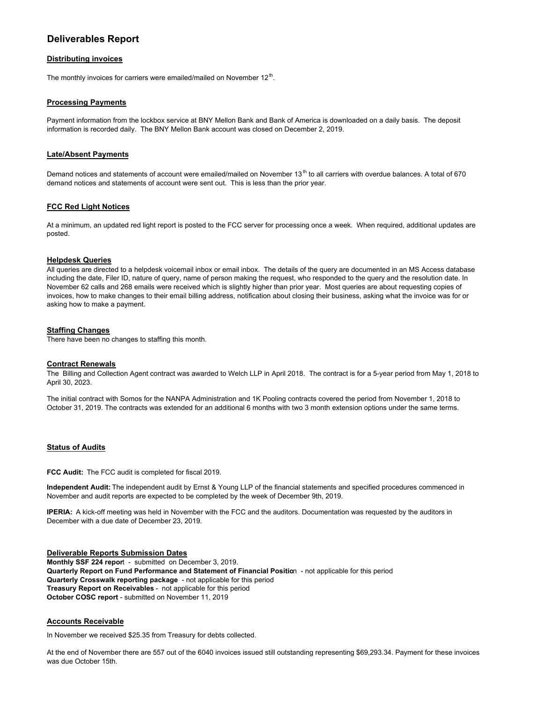# **Deliverables Report**

## **Distributing invoices**

The monthly invoices for carriers were emailed/mailed on November 12<sup>th</sup>.

#### **Processing Payments**

Payment information from the lockbox service at BNY Mellon Bank and Bank of America is downloaded on a daily basis. The deposit information is recorded daily. The BNY Mellon Bank account was closed on December 2, 2019.

#### **Late/Absent Payments**

Demand notices and statements of account were emailed/mailed on November 13<sup>th</sup> to all carriers with overdue balances. A total of 670 demand notices and statements of account were sent out. This is less than the prior year.

## **FCC Red Light Notices**

At a minimum, an updated red light report is posted to the FCC server for processing once a week. When required, additional updates are posted.

#### **Helpdesk Queries**

All queries are directed to a helpdesk voicemail inbox or email inbox. The details of the query are documented in an MS Access database including the date, Filer ID, nature of query, name of person making the request, who responded to the query and the resolution date. In November 62 calls and 268 emails were received which is slightly higher than prior year. Most queries are about requesting copies of invoices, how to make changes to their email billing address, notification about closing their business, asking what the invoice was for or asking how to make a payment.

#### **Staffing Changes**

There have been no changes to staffing this month.

#### **Contract Renewals**

The Billing and Collection Agent contract was awarded to Welch LLP in April 2018. The contract is for a 5-year period from May 1, 2018 to April 30, 2023.

The initial contract with Somos for the NANPA Administration and 1K Pooling contracts covered the period from November 1, 2018 to October 31, 2019. The contracts was extended for an additional 6 months with two 3 month extension options under the same terms.

#### **Status of Audits**

**FCC Audit:** The FCC audit is completed for fiscal 2019.

**Independent Audit:** The independent audit by Ernst & Young LLP of the financial statements and specified procedures commenced in November and audit reports are expected to be completed by the week of December 9th, 2019.

**IPERIA:** A kick-off meeting was held in November with the FCC and the auditors. Documentation was requested by the auditors in December with a due date of December 23, 2019.

#### **Deliverable Reports Submission Dates**

**Monthly SSF 224 repor**t - submitted on December 3, 2019. **Quarterly Report on Fund Performance and Statement of Financial Positio**n - not applicable for this period **Quarterly Crosswalk reporting package** - not applicable for this period **Treasury Report on Receivables** - not applicable for this period **October COSC report** - submitted on November 11, 2019

#### **Accounts Receivable**

In November we received \$25.35 from Treasury for debts collected.

At the end of November there are 557 out of the 6040 invoices issued still outstanding representing \$69,293.34. Payment for these invoices was due October 15th.